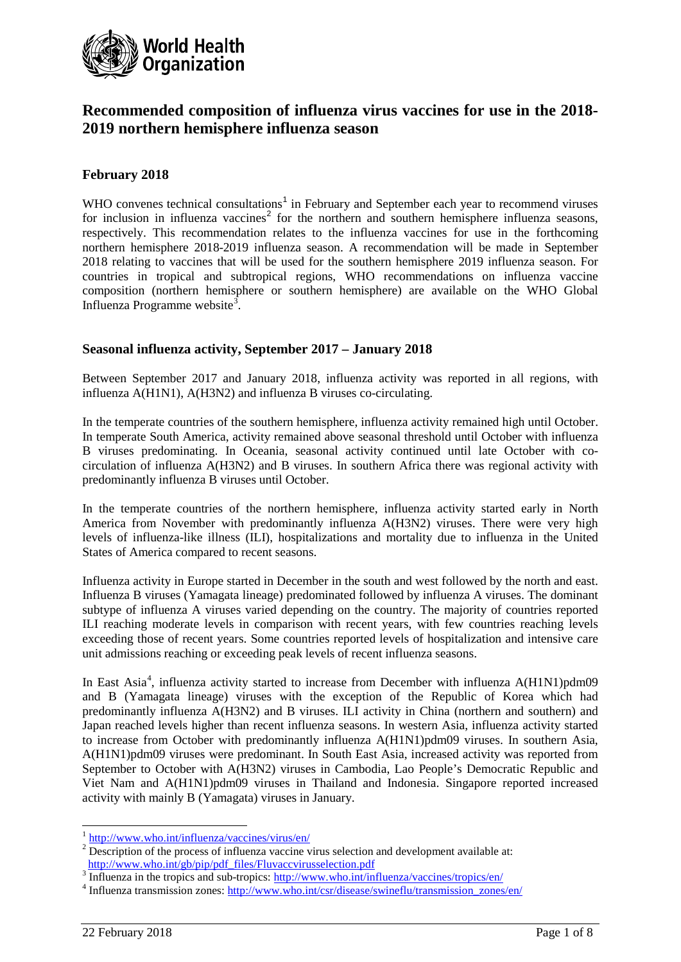

# **Recommended composition of influenza virus vaccines for use in the 2018- 2019 northern hemisphere influenza season**

# **February 2018**

WHO convenes technical consultations<sup>[1](#page-0-0)</sup> in February and September each year to recommend viruses for inclusion in influenza vaccines<sup>[2](#page-0-1)</sup> for the northern and southern hemisphere influenza seasons, respectively. This recommendation relates to the influenza vaccines for use in the forthcoming northern hemisphere 2018-2019 influenza season. A recommendation will be made in September 2018 relating to vaccines that will be used for the southern hemisphere 2019 influenza season. For countries in tropical and subtropical regions, WHO recommendations on influenza vaccine composition (northern hemisphere or southern hemisphere) are available on the WHO Global Influenza Programme website<sup>[3](#page-0-2)</sup>.

### **Seasonal influenza activity, September 2017 – January 2018**

Between September 2017 and January 2018, influenza activity was reported in all regions, with influenza A(H1N1), A(H3N2) and influenza B viruses co-circulating.

In the temperate countries of the southern hemisphere, influenza activity remained high until October. In temperate South America, activity remained above seasonal threshold until October with influenza B viruses predominating. In Oceania, seasonal activity continued until late October with cocirculation of influenza A(H3N2) and B viruses. In southern Africa there was regional activity with predominantly influenza B viruses until October.

In the temperate countries of the northern hemisphere, influenza activity started early in North America from November with predominantly influenza A(H3N2) viruses. There were very high levels of influenza-like illness (ILI), hospitalizations and mortality due to influenza in the United States of America compared to recent seasons.

Influenza activity in Europe started in December in the south and west followed by the north and east. Influenza B viruses (Yamagata lineage) predominated followed by influenza A viruses. The dominant subtype of influenza A viruses varied depending on the country. The majority of countries reported ILI reaching moderate levels in comparison with recent years, with few countries reaching levels exceeding those of recent years. Some countries reported levels of hospitalization and intensive care unit admissions reaching or exceeding peak levels of recent influenza seasons.

In East Asia<sup>[4](#page-0-3)</sup>, influenza activity started to increase from December with influenza A(H1N1)pdm09 and B (Yamagata lineage) viruses with the exception of the Republic of Korea which had predominantly influenza A(H3N2) and B viruses. ILI activity in China (northern and southern) and Japan reached levels higher than recent influenza seasons. In western Asia, influenza activity started to increase from October with predominantly influenza A(H1N1)pdm09 viruses. In southern Asia, A(H1N1)pdm09 viruses were predominant. In South East Asia, increased activity was reported from September to October with A(H3N2) viruses in Cambodia, Lao People's Democratic Republic and Viet Nam and A(H1N1)pdm09 viruses in Thailand and Indonesia. Singapore reported increased activity with mainly B (Yamagata) viruses in January.

<sup>&</sup>lt;sup>1</sup> <http://www.who.int/influenza/vaccines/virus/en/>

<span id="page-0-1"></span><span id="page-0-0"></span><sup>&</sup>lt;sup>2</sup> Description of the process of influenza vaccine virus selection and development available at:<br>http://www.who.int/gb/pip/pdf\_files/Fluvaccvirus selection.pdf

<span id="page-0-3"></span><span id="page-0-2"></span>a Influenza in the tropics and sub-tropics:<http://www.who.int/influenza/vaccines/tropics/en/><br>4 Influenza transmission zones: http://www.who.int/csr/disease/swineflu/transmission zones/en/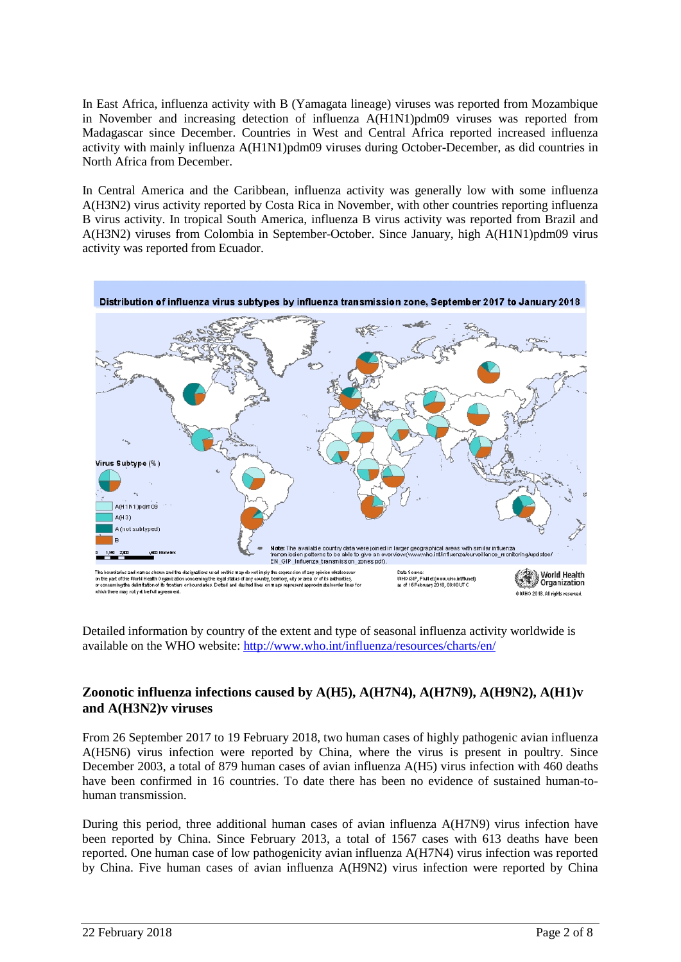In East Africa, influenza activity with B (Yamagata lineage) viruses was reported from Mozambique in November and increasing detection of influenza A(H1N1)pdm09 viruses was reported from Madagascar since December. Countries in West and Central Africa reported increased influenza activity with mainly influenza A(H1N1)pdm09 viruses during October-December, as did countries in North Africa from December.

In Central America and the Caribbean, influenza activity was generally low with some influenza A(H3N2) virus activity reported by Costa Rica in November, with other countries reporting influenza B virus activity. In tropical South America, influenza B virus activity was reported from Brazil and A(H3N2) viruses from Colombia in September-October. Since January, high A(H1N1)pdm09 virus activity was reported from Ecuador.



Detailed information by country of the extent and type of seasonal influenza activity worldwide is available on the WHO website: <http://www.who.int/influenza/resources/charts/en/>

# **Zoonotic influenza infections caused by A(H5), A(H7N4), A(H7N9), A(H9N2), A(H1)v and A(H3N2)v viruses**

From 26 September 2017 to 19 February 2018, two human cases of highly pathogenic avian influenza A(H5N6) virus infection were reported by China, where the virus is present in poultry. Since December 2003, a total of 879 human cases of avian influenza A(H5) virus infection with 460 deaths have been confirmed in 16 countries. To date there has been no evidence of sustained human-tohuman transmission.

During this period, three additional human cases of avian influenza A(H7N9) virus infection have been reported by China. Since February 2013, a total of 1567 cases with 613 deaths have been reported. One human case of low pathogenicity avian influenza A(H7N4) virus infection was reported by China. Five human cases of avian influenza A(H9N2) virus infection were reported by China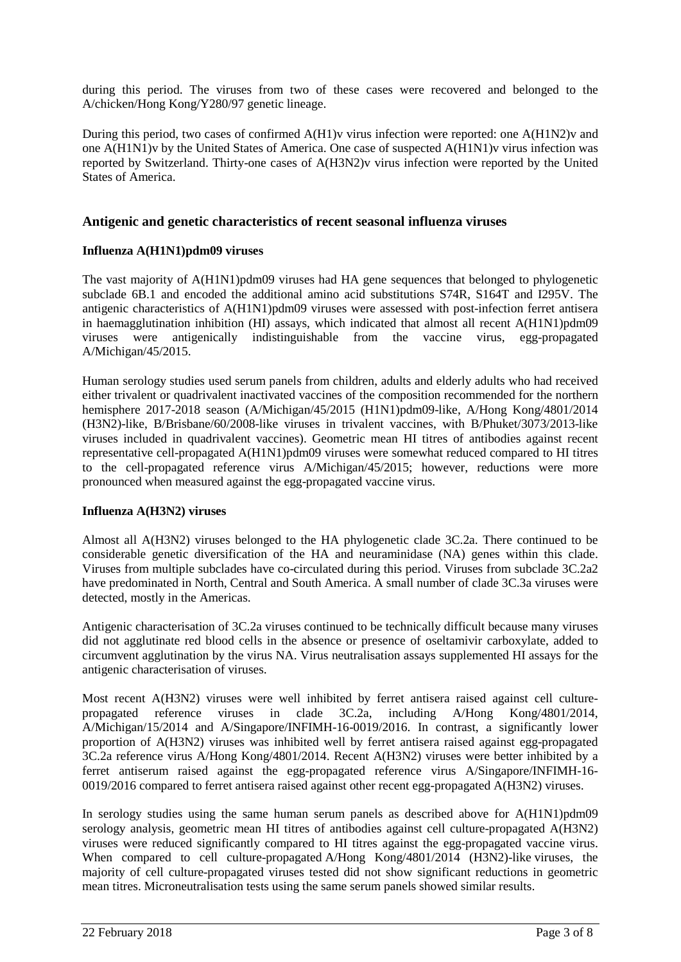during this period. The viruses from two of these cases were recovered and belonged to the A/chicken/Hong Kong/Y280/97 genetic lineage.

During this period, two cases of confirmed A(H1)v virus infection were reported: one A(H1N2)v and one A(H1N1)v by the United States of America. One case of suspected A(H1N1)v virus infection was reported by Switzerland. Thirty-one cases of A(H3N2)v virus infection were reported by the United States of America.

### **Antigenic and genetic characteristics of recent seasonal influenza viruses**

### **Influenza A(H1N1)pdm09 viruses**

The vast majority of A(H1N1)pdm09 viruses had HA gene sequences that belonged to phylogenetic subclade 6B.1 and encoded the additional amino acid substitutions S74R, S164T and I295V. The antigenic characteristics of A(H1N1)pdm09 viruses were assessed with post-infection ferret antisera in haemagglutination inhibition (HI) assays, which indicated that almost all recent A(H1N1)pdm09 viruses were antigenically indistinguishable from the vaccine virus, egg-propagated A/Michigan/45/2015.

Human serology studies used serum panels from children, adults and elderly adults who had received either trivalent or quadrivalent inactivated vaccines of the composition recommended for the northern hemisphere 2017-2018 season (A/Michigan/45/2015 (H1N1)pdm09-like, A/Hong Kong/4801/2014 (H3N2)-like, B/Brisbane/60/2008-like viruses in trivalent vaccines, with B/Phuket/3073/2013-like viruses included in quadrivalent vaccines). Geometric mean HI titres of antibodies against recent representative cell-propagated A(H1N1)pdm09 viruses were somewhat reduced compared to HI titres to the cell-propagated reference virus A/Michigan/45/2015; however, reductions were more pronounced when measured against the egg-propagated vaccine virus.

### **Influenza A(H3N2) viruses**

Almost all A(H3N2) viruses belonged to the HA phylogenetic clade 3C.2a. There continued to be considerable genetic diversification of the HA and neuraminidase (NA) genes within this clade. Viruses from multiple subclades have co-circulated during this period. Viruses from subclade 3C.2a2 have predominated in North, Central and South America. A small number of clade 3C.3a viruses were detected, mostly in the Americas.

Antigenic characterisation of 3C.2a viruses continued to be technically difficult because many viruses did not agglutinate red blood cells in the absence or presence of oseltamivir carboxylate, added to circumvent agglutination by the virus NA. Virus neutralisation assays supplemented HI assays for the antigenic characterisation of viruses.

Most recent A(H3N2) viruses were well inhibited by ferret antisera raised against cell culturepropagated reference viruses in clade 3C.2a, including A/Hong Kong/4801/2014, A/Michigan/15/2014 and A/Singapore/INFIMH-16-0019/2016. In contrast, a significantly lower proportion of A(H3N2) viruses was inhibited well by ferret antisera raised against egg-propagated 3C.2a reference virus A/Hong Kong/4801/2014. Recent A(H3N2) viruses were better inhibited by a ferret antiserum raised against the egg-propagated reference virus A/Singapore/INFIMH-16- 0019/2016 compared to ferret antisera raised against other recent egg-propagated A(H3N2) viruses.

In serology studies using the same human serum panels as described above for A(H1N1)pdm09 serology analysis, geometric mean HI titres of antibodies against cell culture-propagated A(H3N2) viruses were reduced significantly compared to HI titres against the egg-propagated vaccine virus. When compared to cell culture-propagated A/Hong Kong/4801/2014 (H3N2)-like viruses, the majority of cell culture-propagated viruses tested did not show significant reductions in geometric mean titres. Microneutralisation tests using the same serum panels showed similar results.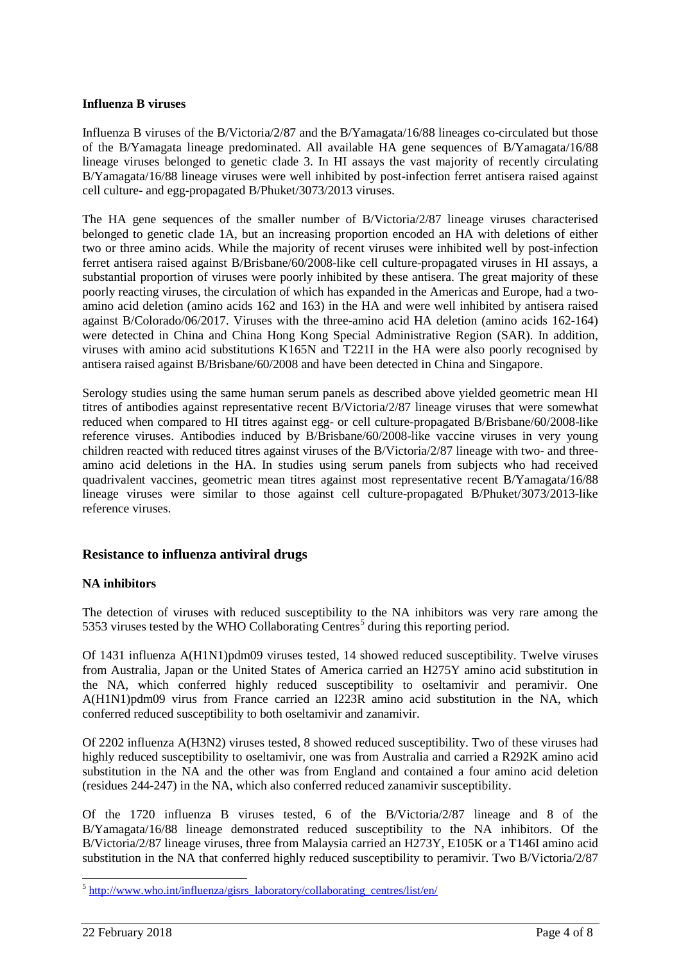#### **Influenza B viruses**

Influenza B viruses of the B/Victoria/2/87 and the B/Yamagata/16/88 lineages co-circulated but those of the B/Yamagata lineage predominated. All available HA gene sequences of B/Yamagata/16/88 lineage viruses belonged to genetic clade 3. In HI assays the vast majority of recently circulating B/Yamagata/16/88 lineage viruses were well inhibited by post-infection ferret antisera raised against cell culture- and egg-propagated B/Phuket/3073/2013 viruses.

The HA gene sequences of the smaller number of B/Victoria/2/87 lineage viruses characterised belonged to genetic clade 1A, but an increasing proportion encoded an HA with deletions of either two or three amino acids. While the majority of recent viruses were inhibited well by post-infection ferret antisera raised against B/Brisbane/60/2008-like cell culture-propagated viruses in HI assays, a substantial proportion of viruses were poorly inhibited by these antisera. The great majority of these poorly reacting viruses, the circulation of which has expanded in the Americas and Europe, had a twoamino acid deletion (amino acids 162 and 163) in the HA and were well inhibited by antisera raised against B/Colorado/06/2017. Viruses with the three-amino acid HA deletion (amino acids 162-164) were detected in China and China Hong Kong Special Administrative Region (SAR). In addition, viruses with amino acid substitutions K165N and T221I in the HA were also poorly recognised by antisera raised against B/Brisbane/60/2008 and have been detected in China and Singapore.

Serology studies using the same human serum panels as described above yielded geometric mean HI titres of antibodies against representative recent B/Victoria/2/87 lineage viruses that were somewhat reduced when compared to HI titres against egg- or cell culture-propagated B/Brisbane/60/2008-like reference viruses. Antibodies induced by B/Brisbane/60/2008-like vaccine viruses in very young children reacted with reduced titres against viruses of the B/Victoria/2/87 lineage with two- and threeamino acid deletions in the HA. In studies using serum panels from subjects who had received quadrivalent vaccines, geometric mean titres against most representative recent B/Yamagata/16/88 lineage viruses were similar to those against cell culture-propagated B/Phuket/3073/2013-like reference viruses.

# **Resistance to influenza antiviral drugs**

### **NA inhibitors**

The detection of viruses with reduced susceptibility to the NA inhibitors was very rare among the [5](#page-3-0)353 viruses tested by the WHO Collaborating Centres<sup>5</sup> during this reporting period.

Of 1431 influenza A(H1N1)pdm09 viruses tested, 14 showed reduced susceptibility. Twelve viruses from Australia, Japan or the United States of America carried an H275Y amino acid substitution in the NA, which conferred highly reduced susceptibility to oseltamivir and peramivir. One A(H1N1)pdm09 virus from France carried an I223R amino acid substitution in the NA, which conferred reduced susceptibility to both oseltamivir and zanamivir.

Of 2202 influenza A(H3N2) viruses tested, 8 showed reduced susceptibility. Two of these viruses had highly reduced susceptibility to oseltamivir, one was from Australia and carried a R292K amino acid substitution in the NA and the other was from England and contained a four amino acid deletion (residues 244-247) in the NA, which also conferred reduced zanamivir susceptibility.

Of the 1720 influenza B viruses tested, 6 of the B/Victoria/2/87 lineage and 8 of the B/Yamagata/16/88 lineage demonstrated reduced susceptibility to the NA inhibitors. Of the B/Victoria/2/87 lineage viruses, three from Malaysia carried an H273Y, E105K or a T146I amino acid substitution in the NA that conferred highly reduced susceptibility to peramivir. Two B/Victoria/2/87

<span id="page-3-0"></span> $5$  [http://www.who.int/influenza/gisrs\\_laboratory/collaborating\\_centres/list/en/](http://www.who.int/influenza/gisrs_laboratory/collaborating_centres/list/en/)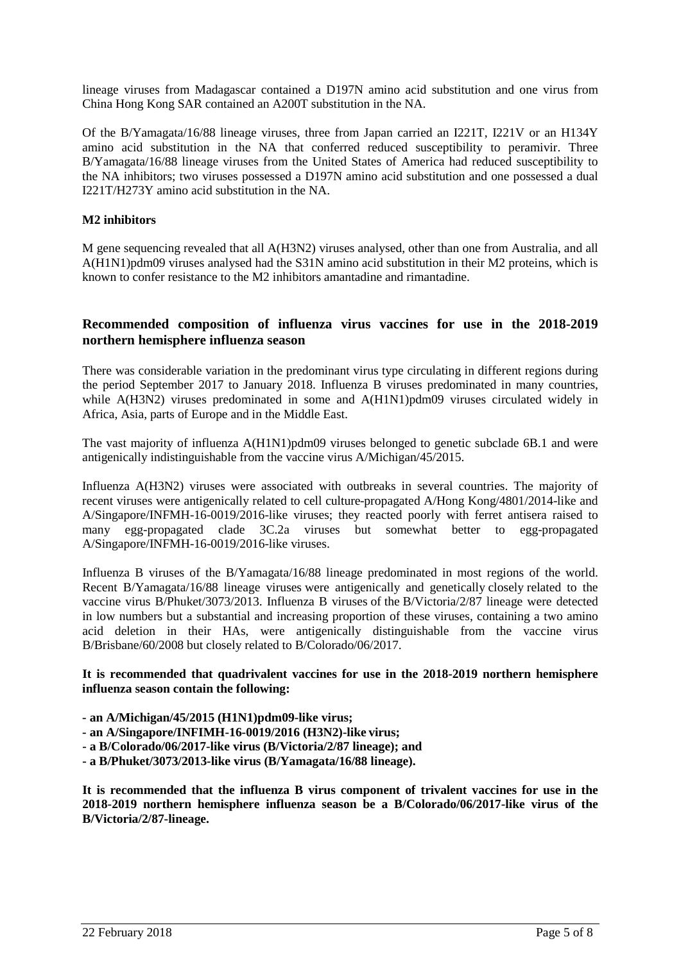lineage viruses from Madagascar contained a D197N amino acid substitution and one virus from China Hong Kong SAR contained an A200T substitution in the NA.

Of the B/Yamagata/16/88 lineage viruses, three from Japan carried an I221T, I221V or an H134Y amino acid substitution in the NA that conferred reduced susceptibility to peramivir. Three B/Yamagata/16/88 lineage viruses from the United States of America had reduced susceptibility to the NA inhibitors; two viruses possessed a D197N amino acid substitution and one possessed a dual I221T/H273Y amino acid substitution in the NA.

# **M2 inhibitors**

M gene sequencing revealed that all A(H3N2) viruses analysed, other than one from Australia, and all A(H1N1)pdm09 viruses analysed had the S31N amino acid substitution in their M2 proteins, which is known to confer resistance to the M2 inhibitors amantadine and rimantadine.

## **Recommended composition of influenza virus vaccines for use in the 2018-2019 northern hemisphere influenza season**

There was considerable variation in the predominant virus type circulating in different regions during the period September 2017 to January 2018. Influenza B viruses predominated in many countries, while A(H3N2) viruses predominated in some and A(H1N1)pdm09 viruses circulated widely in Africa, Asia, parts of Europe and in the Middle East.

The vast majority of influenza A(H1N1)pdm09 viruses belonged to genetic subclade 6B.1 and were antigenically indistinguishable from the vaccine virus A/Michigan/45/2015.

Influenza A(H3N2) viruses were associated with outbreaks in several countries. The majority of recent viruses were antigenically related to cell culture-propagated A/Hong Kong/4801/2014-like and A/Singapore/INFMH-16-0019/2016-like viruses; they reacted poorly with ferret antisera raised to many egg-propagated clade 3C.2a viruses but somewhat better to egg-propagated A/Singapore/INFMH-16-0019/2016-like viruses.

Influenza B viruses of the B/Yamagata/16/88 lineage predominated in most regions of the world. Recent B/Yamagata/16/88 lineage viruses were antigenically and genetically closely related to the vaccine virus B/Phuket/3073/2013. Influenza B viruses of the B/Victoria/2/87 lineage were detected in low numbers but a substantial and increasing proportion of these viruses, containing a two amino acid deletion in their HAs, were antigenically distinguishable from the vaccine virus B/Brisbane/60/2008 but closely related to B/Colorado/06/2017.

#### **It is recommended that quadrivalent vaccines for use in the 2018-2019 northern hemisphere influenza season contain the following:**

- **- an A/Michigan/45/2015 (H1N1)pdm09-like virus;**
- **- an A/Singapore/INFIMH-16-0019/2016 (H3N2)-like virus;**
- **- a B/Colorado/06/2017-like virus (B/Victoria/2/87 lineage); and**
- **- a B/Phuket/3073/2013-like virus (B/Yamagata/16/88 lineage).**

**It is recommended that the influenza B virus component of trivalent vaccines for use in the 2018-2019 northern hemisphere influenza season be a B/Colorado/06/2017-like virus of the B/Victoria/2/87-lineage.**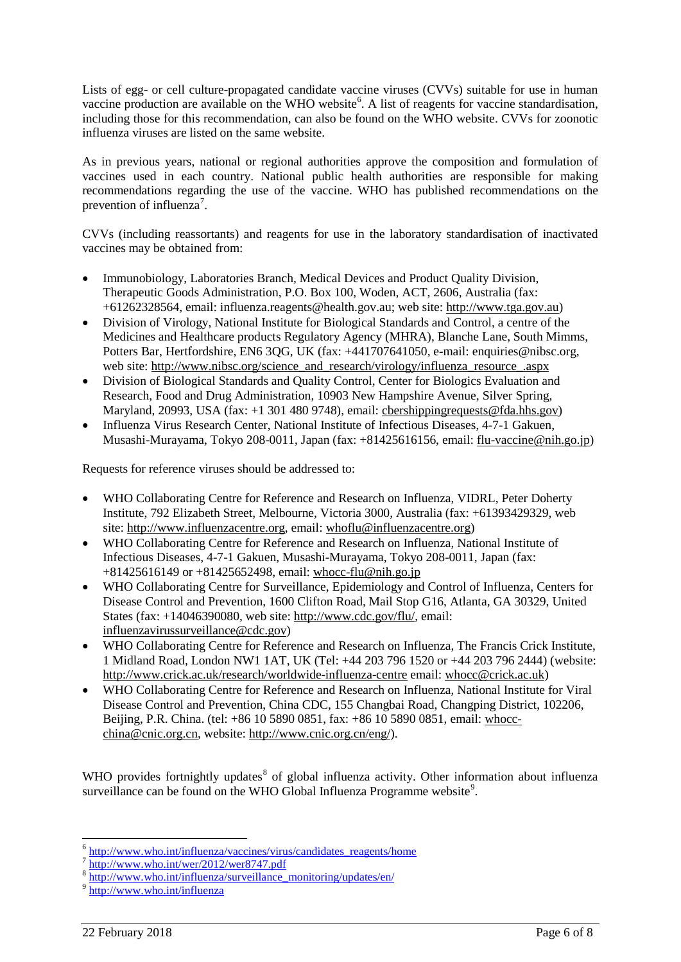Lists of egg- or cell culture-propagated candidate vaccine viruses (CVVs) suitable for use in human vaccine production are available on the WHO website<sup>[6](#page-5-0)</sup>. A list of reagents for vaccine standardisation, including those for this recommendation, can also be found on the WHO website. CVVs for zoonotic influenza viruses are listed on the same website.

As in previous years, national or regional authorities approve the composition and formulation of vaccines used in each country. National public health authorities are responsible for making recommendations regarding the use of the vaccine. WHO has published recommendations on the prevention of influenza<sup>[7](#page-5-1)</sup>.

CVVs (including reassortants) and reagents for use in the laboratory standardisation of inactivated vaccines may be obtained from:

- Immunobiology, Laboratories Branch, Medical Devices and Product Quality Division, Therapeutic Goods Administration, P.O. Box 100, Woden, ACT, 2606, Australia (fax: +61262328564, email: influenza.reagents@health.gov.au; web site: [http://www.tga.gov.au\)](http://www.tga.gov.au/)
- Division of Virology, National Institute for Biological Standards and Control, a centre of the Medicines and Healthcare products Regulatory Agency (MHRA), Blanche Lane, South Mimms, Potters Bar, Hertfordshire, EN6 3QG, UK (fax: +441707641050, e-mail: enquiries@nibsc.org, web site: [http://www.nibsc.org/science\\_and\\_research/virology/influenza\\_resource\\_.aspx](http://www.nibsc.org/science_and_research/virology/influenza_resource_.aspx)
- Division of Biological Standards and Quality Control, Center for Biologics Evaluation and Research, Food and Drug Administration, 10903 New Hampshire Avenue, Silver Spring, Maryland, 20993, USA (fax: +1 301 480 9748), email: [cbershippingrequests@fda.hhs.gov\)](mailto:cbershippingrequests@fda.hhs.gov)
- Influenza Virus Research Center, National Institute of Infectious Diseases, 4-7-1 Gakuen, Musashi-Murayama, Tokyo 208-0011, Japan (fax: +81425616156, email: [flu-vaccine@nih.go.jp\)](mailto:flu-vaccine@nih.go.jp)

Requests for reference viruses should be addressed to:

- WHO Collaborating Centre for Reference and Research on Influenza, VIDRL, Peter Doherty Institute, 792 Elizabeth Street, Melbourne, Victoria 3000, Australia (fax: +61393429329, web site: [http://www.influenzacentre.org,](http://www.influenzacentre.org/) email: [whoflu@influenzacentre.org\)](mailto:whoflu@influenzacentre.org)
- WHO Collaborating Centre for Reference and Research on Influenza, National Institute of Infectious Diseases, 4-7-1 Gakuen, Musashi-Murayama, Tokyo 208-0011, Japan (fax: +81425616149 or +81425652498, email: [whocc-flu@nih.go.jp](mailto:whocc-flu@nih.go.jp)
- WHO Collaborating Centre for Surveillance, Epidemiology and Control of Influenza, Centers for Disease Control and Prevention, 1600 Clifton Road, Mail Stop G16, Atlanta, GA 30329, United States (fax: +14046390080, web site: [http://www.cdc.gov/flu/,](http://www.cdc.gov/flu/) email: [influenzavirussurveillance@cdc.gov\)](mailto:influenzavirussurveillance@cdc.gov)
- WHO Collaborating Centre for Reference and Research on Influenza, The Francis Crick Institute, 1 Midland Road, London NW1 1AT, UK (Tel: +44 203 796 1520 or +44 203 796 2444) (website: <http://www.crick.ac.uk/research/worldwide-influenza-centre> email: [whocc@crick.ac.uk\)](mailto:whocc@nimr.mrc.ac.uk)
- WHO Collaborating Centre for Reference and Research on Influenza, National Institute for Viral Disease Control and Prevention, China CDC, 155 Changbai Road, Changping District, 102206, Beijing, P.R. China. (tel: +86 10 5890 0851, fax: +86 10 5890 0851, email: [whocc](mailto:whocc-china@cnic.org)[china@cnic.org.](mailto:whocc-china@cnic.org)cn, website: [http://www.cnic.org.cn/eng/\)](http://www.cnic.org.cn/eng/).

WHO provides fortnightly updates<sup>[8](#page-5-2)</sup> of global influenza activity. Other information about influenza surveillance can be found on the WHO Global Influenza Programme website<sup>[9](#page-5-3)</sup>.

<sup>6</sup> [http://www.who.int/influenza/vaccines/virus/candidates\\_reagents/home](http://www.who.int/influenza/vaccines/virus/candidates_reagents/home)

<span id="page-5-1"></span><span id="page-5-0"></span> $\frac{7 \text{ http://www.who.int/wer/2012/wer8747.pdf}}{8 \text{ http://www.who.int/refluenze/curueillene}}$  $\frac{7 \text{ http://www.who.int/wer/2012/wer8747.pdf}}{8 \text{ http://www.who.int/refluenze/curueillene}}$  $\frac{7 \text{ http://www.who.int/wer/2012/wer8747.pdf}}{8 \text{ http://www.who.int/refluenze/curueillene}}$ 

[http://www.who.int/influenza/surveillance\\_monitoring/updates/en/](http://www.who.int/influenza/surveillance_monitoring/updates/en/)

<span id="page-5-3"></span><span id="page-5-2"></span><sup>9</sup> <http://www.who.int/influenza>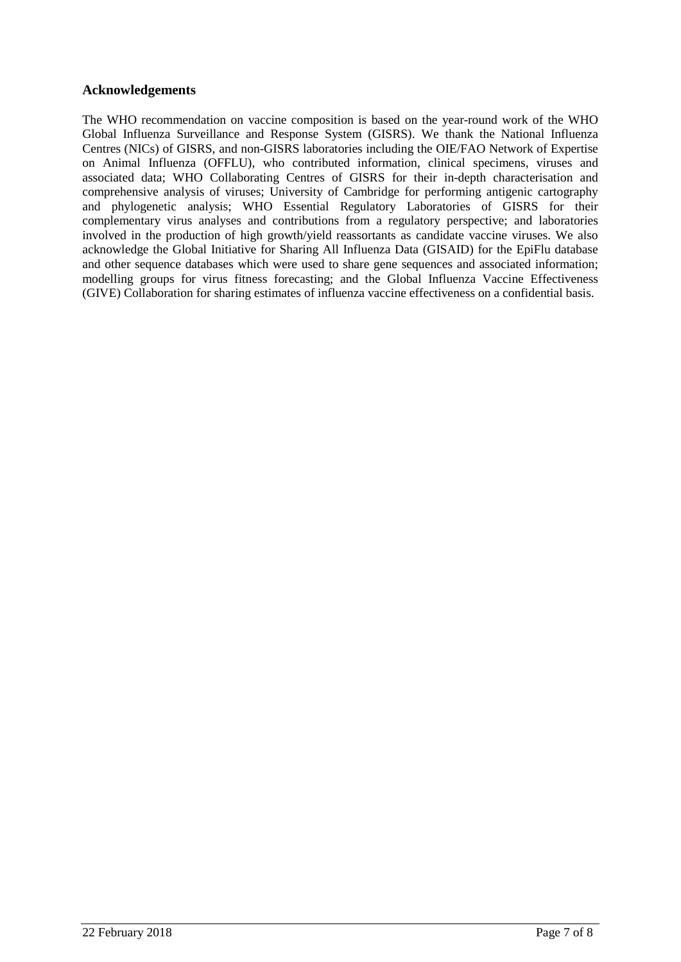# **Acknowledgements**

The WHO recommendation on vaccine composition is based on the year-round work of the WHO Global Influenza Surveillance and Response System (GISRS). We thank the National Influenza Centres (NICs) of GISRS, and non-GISRS laboratories including the OIE/FAO Network of Expertise on Animal Influenza (OFFLU), who contributed information, clinical specimens, viruses and associated data; WHO Collaborating Centres of GISRS for their in-depth characterisation and comprehensive analysis of viruses; University of Cambridge for performing antigenic cartography and phylogenetic analysis; WHO Essential Regulatory Laboratories of GISRS for their complementary virus analyses and contributions from a regulatory perspective; and laboratories involved in the production of high growth/yield reassortants as candidate vaccine viruses. We also acknowledge the Global Initiative for Sharing All Influenza Data (GISAID) for the EpiFlu database and other sequence databases which were used to share gene sequences and associated information; modelling groups for virus fitness forecasting; and the Global Influenza Vaccine Effectiveness (GIVE) Collaboration for sharing estimates of influenza vaccine effectiveness on a confidential basis.